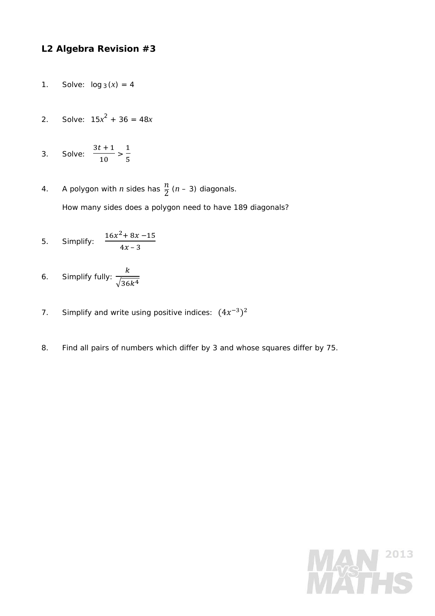## **L2 Algebra Revision #3**

- 1. Solve:  $log_3(x) = 4$
- 2. Solve:  $15x^2 + 36 = 48x$
- 3. Solve:  $3t + 1$  $\frac{1}{10}$  >  $\mathbf 1$  $\frac{1}{5}$
- 4. A polygon with *n* sides has  $\frac{n}{2}$  (*n* 3) diagonals. How many sides does a polygon need to have 189 diagonals?

5. Simplify: 
$$
\frac{16x^2 + 8x - 15}{4x - 3}
$$

6. Simplify fully:  $\boldsymbol{k}$  $\sqrt{36k^4}$ 

- 7. Simplify and write using positive indices:  $(4x^{-3})^2$
- 8. Find all pairs of numbers which differ by 3 and whose squares differ by 75.